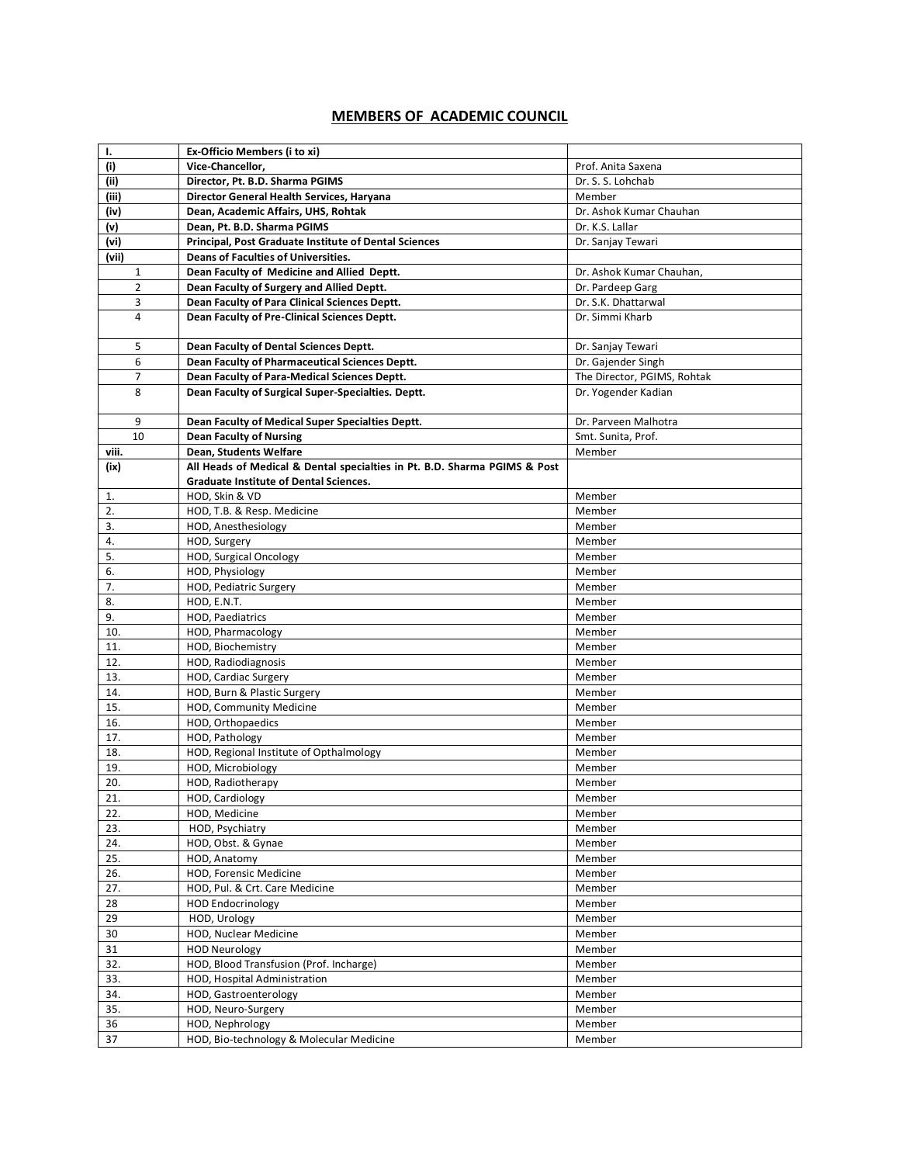## **MEMBERS OF ACADEMIC COUNCIL**

| Ι.             | Ex-Officio Members (i to xi)                                              |                             |
|----------------|---------------------------------------------------------------------------|-----------------------------|
| (i)            | Vice-Chancellor,                                                          | Prof. Anita Saxena          |
| (ii)           | Director, Pt. B.D. Sharma PGIMS                                           | Dr. S. S. Lohchab           |
| (iii)          | Director General Health Services, Haryana                                 | Member                      |
| (iv)           | Dean, Academic Affairs, UHS, Rohtak                                       | Dr. Ashok Kumar Chauhan     |
|                | Dean. Pt. B.D. Sharma PGIMS                                               | Dr. K.S. Lallar             |
| (v)            |                                                                           |                             |
| (vi)           | <b>Principal, Post Graduate Institute of Dental Sciences</b>              | Dr. Sanjay Tewari           |
| (vii)          | Deans of Faculties of Universities.                                       |                             |
| 1              | Dean Faculty of Medicine and Allied Deptt.                                | Dr. Ashok Kumar Chauhan,    |
| $\overline{2}$ | Dean Faculty of Surgery and Allied Deptt.                                 | Dr. Pardeep Garg            |
| 3              | Dean Faculty of Para Clinical Sciences Deptt.                             | Dr. S.K. Dhattarwal         |
| $\overline{4}$ | Dean Faculty of Pre-Clinical Sciences Deptt.                              | Dr. Simmi Kharb             |
| 5              | Dean Faculty of Dental Sciences Deptt.                                    | Dr. Sanjay Tewari           |
| 6              | Dean Faculty of Pharmaceutical Sciences Deptt.                            | Dr. Gajender Singh          |
| $\overline{7}$ | Dean Faculty of Para-Medical Sciences Deptt.                              | The Director, PGIMS, Rohtak |
| 8              | Dean Faculty of Surgical Super-Specialties. Deptt.                        | Dr. Yogender Kadian         |
| 9              | Dean Faculty of Medical Super Specialties Deptt.                          | Dr. Parveen Malhotra        |
| 10             | <b>Dean Faculty of Nursing</b>                                            | Smt. Sunita, Prof.          |
| viii.          | Dean, Students Welfare                                                    | Member                      |
| (ix)           | All Heads of Medical & Dental specialties in Pt. B.D. Sharma PGIMS & Post |                             |
|                | <b>Graduate Institute of Dental Sciences.</b>                             |                             |
| 1.             | HOD, Skin & VD                                                            | Member                      |
| 2.             | HOD, T.B. & Resp. Medicine                                                | Member                      |
| 3.             | HOD, Anesthesiology                                                       | Member                      |
| 4.             | HOD, Surgery                                                              | Member                      |
| 5.             | HOD, Surgical Oncology                                                    | Member                      |
| 6.             | HOD, Physiology                                                           | Member                      |
| 7.             | HOD, Pediatric Surgery                                                    | Member                      |
| 8.             | HOD, E.N.T.                                                               | Member                      |
|                |                                                                           |                             |
| 9.             | HOD, Paediatrics                                                          | Member                      |
| 10.            | HOD, Pharmacology                                                         | Member                      |
| 11.            | HOD, Biochemistry                                                         | Member                      |
| 12.            | HOD, Radiodiagnosis                                                       | Member                      |
| 13.            | HOD, Cardiac Surgery                                                      | Member                      |
| 14.            | HOD, Burn & Plastic Surgery                                               | Member                      |
| 15.            | HOD, Community Medicine                                                   | Member                      |
| 16.            | HOD, Orthopaedics                                                         | Member                      |
| 17.            | HOD, Pathology                                                            | Member                      |
| 18.            | HOD, Regional Institute of Opthalmology                                   | Member                      |
| 19.            | HOD, Microbiology                                                         | Member                      |
| 20.            | HOD, Radiotherapy                                                         | Member                      |
| 21.            | HOD, Cardiology                                                           | Member                      |
| 22.            | HOD, Medicine                                                             | Member                      |
| 23.            | HOD, Psychiatry                                                           | Member                      |
| 24.            | HOD, Obst. & Gynae                                                        | Member                      |
| 25.            | HOD, Anatomy                                                              | Member                      |
| 26.            | HOD, Forensic Medicine                                                    | Member                      |
| 27.            | HOD, Pul. & Crt. Care Medicine                                            | Member                      |
| 28             | <b>HOD Endocrinology</b>                                                  | Member                      |
| 29             | HOD, Urology                                                              | Member                      |
| 30             | HOD, Nuclear Medicine                                                     | Member                      |
| 31             | <b>HOD Neurology</b>                                                      | Member                      |
| 32.            | HOD, Blood Transfusion (Prof. Incharge)                                   | Member                      |
| 33.            | HOD, Hospital Administration                                              | Member                      |
| 34.            | HOD, Gastroenterology                                                     | Member                      |
| 35.            | HOD, Neuro-Surgery                                                        | Member                      |
| 36             | HOD, Nephrology                                                           | Member                      |
| 37             | HOD, Bio-technology & Molecular Medicine                                  | Member                      |
|                |                                                                           |                             |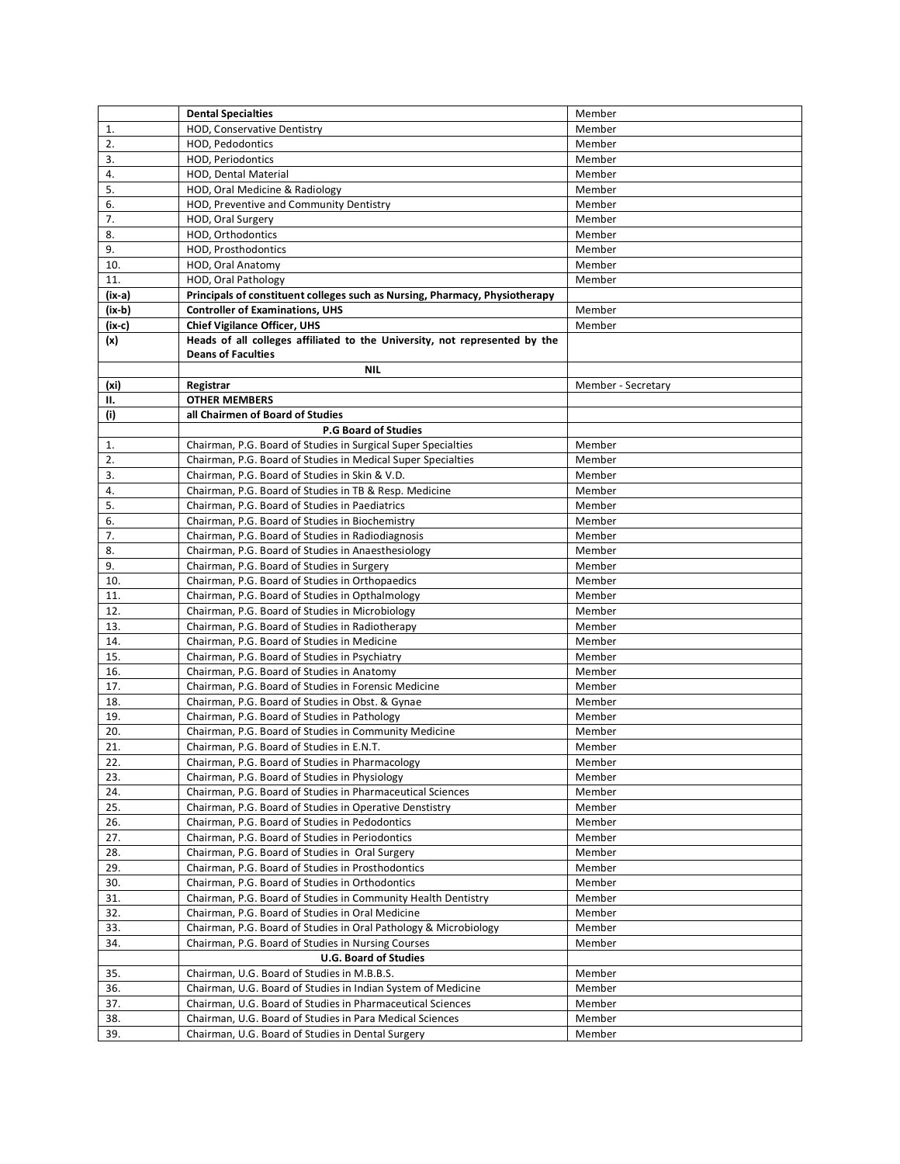|        | <b>Dental Specialties</b>                                                   | Member             |
|--------|-----------------------------------------------------------------------------|--------------------|
| 1.     | HOD, Conservative Dentistry                                                 | Member             |
| 2.     | HOD, Pedodontics                                                            | Member             |
| 3.     | HOD, Periodontics                                                           | Member             |
| 4.     | HOD, Dental Material                                                        | Member             |
| 5.     | HOD, Oral Medicine & Radiology                                              | Member             |
| 6.     | HOD, Preventive and Community Dentistry                                     | Member             |
| 7.     | HOD, Oral Surgery                                                           | Member             |
| 8.     | HOD, Orthodontics                                                           | Member             |
| 9.     | HOD, Prosthodontics                                                         | Member             |
| 10.    | HOD, Oral Anatomy                                                           | Member             |
| 11.    | HOD, Oral Pathology                                                         | Member             |
| (ix-a) | Principals of constituent colleges such as Nursing, Pharmacy, Physiotherapy |                    |
| (ix-b) | <b>Controller of Examinations, UHS</b>                                      | Member             |
| (ix-c) | <b>Chief Vigilance Officer, UHS</b>                                         | Member             |
| (x)    | Heads of all colleges affiliated to the University, not represented by the  |                    |
|        | <b>Deans of Faculties</b>                                                   |                    |
|        | <b>NIL</b>                                                                  |                    |
| (xi)   | Registrar                                                                   | Member - Secretary |
| н.     | <b>OTHER MEMBERS</b>                                                        |                    |
| (i)    | all Chairmen of Board of Studies                                            |                    |
|        | <b>P.G Board of Studies</b>                                                 |                    |
| 1.     | Chairman, P.G. Board of Studies in Surgical Super Specialties               | Member             |
| 2.     | Chairman, P.G. Board of Studies in Medical Super Specialties                | Member             |
| 3.     | Chairman, P.G. Board of Studies in Skin & V.D.                              | Member             |
| 4.     | Chairman, P.G. Board of Studies in TB & Resp. Medicine                      | Member             |
| 5.     | Chairman, P.G. Board of Studies in Paediatrics                              | Member             |
| 6.     | Chairman, P.G. Board of Studies in Biochemistry                             | Member             |
| 7.     | Chairman, P.G. Board of Studies in Radiodiagnosis                           | Member             |
| 8.     | Chairman, P.G. Board of Studies in Anaesthesiology                          | Member             |
| 9.     | Chairman, P.G. Board of Studies in Surgery                                  | Member             |
| 10.    | Chairman, P.G. Board of Studies in Orthopaedics                             | Member             |
| 11.    | Chairman, P.G. Board of Studies in Opthalmology                             | Member             |
| 12.    | Chairman, P.G. Board of Studies in Microbiology                             | Member             |
| 13.    | Chairman, P.G. Board of Studies in Radiotherapy                             | Member             |
| 14.    | Chairman, P.G. Board of Studies in Medicine                                 | Member             |
| 15.    | Chairman, P.G. Board of Studies in Psychiatry                               | Member             |
| 16.    | Chairman, P.G. Board of Studies in Anatomy                                  | Member             |
| 17.    | Chairman, P.G. Board of Studies in Forensic Medicine                        | Member             |
| 18.    | Chairman, P.G. Board of Studies in Obst. & Gynae                            | Member             |
| 19.    | Chairman, P.G. Board of Studies in Pathology                                | Member             |
| 20.    | Chairman, P.G. Board of Studies in Community Medicine                       | Member             |
| 21.    | Chairman, P.G. Board of Studies in E.N.T.                                   | Member             |
| 22.    | Chairman, P.G. Board of Studies in Pharmacology                             | Member             |
| 23.    | Chairman, P.G. Board of Studies in Physiology                               | Member             |
| 24.    | Chairman, P.G. Board of Studies in Pharmaceutical Sciences                  | Member             |
| 25.    | Chairman, P.G. Board of Studies in Operative Denstistry                     | Member             |
| 26.    | Chairman, P.G. Board of Studies in Pedodontics                              | Member             |
| 27.    | Chairman, P.G. Board of Studies in Periodontics                             | Member             |
| 28.    | Chairman, P.G. Board of Studies in Oral Surgery                             | Member             |
| 29.    | Chairman, P.G. Board of Studies in Prosthodontics                           | Member             |
| 30.    | Chairman, P.G. Board of Studies in Orthodontics                             | Member             |
| 31.    | Chairman, P.G. Board of Studies in Community Health Dentistry               | Member             |
| 32.    | Chairman, P.G. Board of Studies in Oral Medicine                            | Member             |
| 33.    | Chairman, P.G. Board of Studies in Oral Pathology & Microbiology            | Member             |
| 34.    | Chairman, P.G. Board of Studies in Nursing Courses                          | Member             |
|        | <b>U.G. Board of Studies</b>                                                |                    |
| 35.    | Chairman, U.G. Board of Studies in M.B.B.S.                                 | Member             |
| 36.    | Chairman, U.G. Board of Studies in Indian System of Medicine                | Member             |
| 37.    | Chairman, U.G. Board of Studies in Pharmaceutical Sciences                  | Member             |
| 38.    | Chairman, U.G. Board of Studies in Para Medical Sciences                    | Member             |
| 39.    | Chairman, U.G. Board of Studies in Dental Surgery                           | Member             |